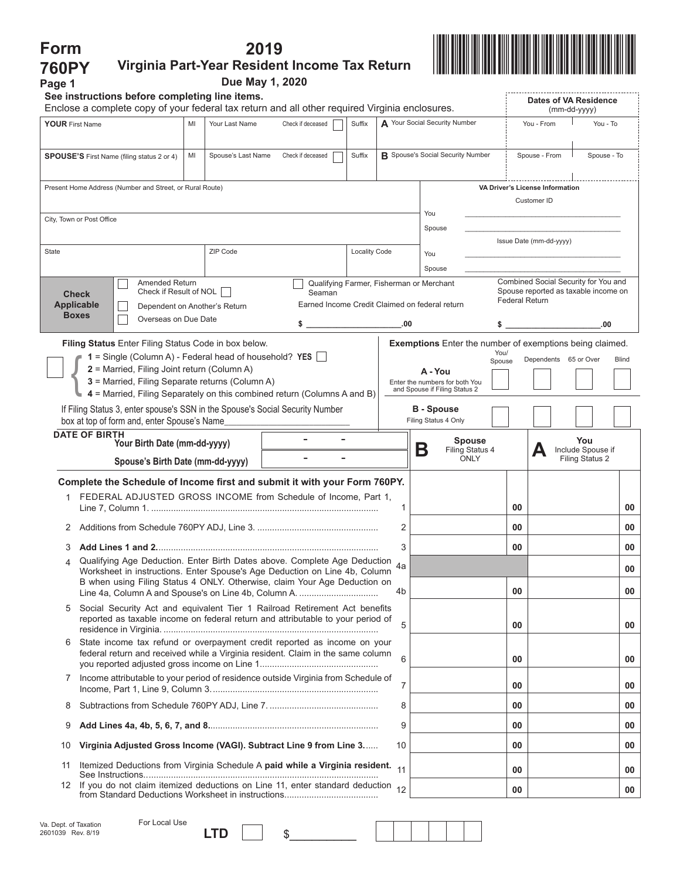| Form                                                                                                                                                               |                                                                                                                                                             |    |                    | 2019 |                                                |                      |     |                                                                 |                                                                  |    |                                                               |                                             |              |
|--------------------------------------------------------------------------------------------------------------------------------------------------------------------|-------------------------------------------------------------------------------------------------------------------------------------------------------------|----|--------------------|------|------------------------------------------------|----------------------|-----|-----------------------------------------------------------------|------------------------------------------------------------------|----|---------------------------------------------------------------|---------------------------------------------|--------------|
| <b>760PY</b>                                                                                                                                                       | Virginia Part-Year Resident Income Tax Return                                                                                                               |    |                    |      |                                                |                      |     |                                                                 |                                                                  |    |                                                               |                                             |              |
| Page 1                                                                                                                                                             |                                                                                                                                                             |    | Due May 1, 2020    |      |                                                |                      |     |                                                                 |                                                                  |    |                                                               |                                             |              |
|                                                                                                                                                                    | See instructions before completing line items.                                                                                                              |    |                    |      |                                                |                      |     |                                                                 |                                                                  |    | Dates of VA Residence                                         |                                             |              |
|                                                                                                                                                                    | Enclose a complete copy of your federal tax return and all other required Virginia enclosures.                                                              |    |                    |      |                                                |                      |     |                                                                 |                                                                  |    | (mm-dd-yyyy)                                                  |                                             |              |
| <b>YOUR First Name</b>                                                                                                                                             |                                                                                                                                                             | MI | Your Last Name     |      | Check if deceased                              | Suffix               |     | A Your Social Security Number                                   |                                                                  |    | You - From                                                    | You - To                                    |              |
|                                                                                                                                                                    | <b>SPOUSE'S</b> First Name (filing status 2 or 4)                                                                                                           | MI | Spouse's Last Name |      | Check if deceased                              | Suffix               |     |                                                                 | <b>B</b> Spouse's Social Security Number                         |    | Spouse - From                                                 | Spouse - To                                 |              |
|                                                                                                                                                                    | Present Home Address (Number and Street, or Rural Route)                                                                                                    |    |                    |      |                                                |                      |     |                                                                 |                                                                  |    | VA Driver's License Information                               |                                             |              |
|                                                                                                                                                                    |                                                                                                                                                             |    |                    |      |                                                |                      |     | You                                                             |                                                                  |    | Customer ID                                                   |                                             |              |
|                                                                                                                                                                    | City, Town or Post Office                                                                                                                                   |    |                    |      |                                                |                      |     | Spouse                                                          |                                                                  |    |                                                               |                                             |              |
| State                                                                                                                                                              |                                                                                                                                                             |    |                    |      |                                                |                      |     |                                                                 |                                                                  |    | Issue Date (mm-dd-yyyy)                                       |                                             |              |
|                                                                                                                                                                    |                                                                                                                                                             |    | ZIP Code           |      |                                                | <b>Locality Code</b> |     | You<br>Spouse                                                   |                                                                  |    |                                                               |                                             |              |
|                                                                                                                                                                    | Amended Return                                                                                                                                              |    |                    |      |                                                |                      |     | Qualifying Farmer, Fisherman or Merchant                        |                                                                  |    | Combined Social Security for You and                          |                                             |              |
|                                                                                                                                                                    | Check if Result of NOL<br><b>Check</b>                                                                                                                      |    |                    |      | Seaman                                         |                      |     |                                                                 |                                                                  |    | Spouse reported as taxable income on<br><b>Federal Return</b> |                                             |              |
|                                                                                                                                                                    | <b>Applicable</b><br>Dependent on Another's Return<br><b>Boxes</b><br>Overseas on Due Date                                                                  |    |                    |      | Earned Income Credit Claimed on federal return |                      |     |                                                                 |                                                                  |    |                                                               |                                             |              |
|                                                                                                                                                                    |                                                                                                                                                             |    |                    |      | \$                                             |                      | .00 |                                                                 | \$                                                               |    |                                                               | .00                                         |              |
|                                                                                                                                                                    | Filing Status Enter Filing Status Code in box below.                                                                                                        |    |                    |      |                                                |                      |     |                                                                 | Exemptions Enter the number of exemptions being claimed.<br>You/ |    |                                                               |                                             |              |
|                                                                                                                                                                    | $1 =$ Single (Column A) - Federal head of household? YES $\Box$<br>2 = Married, Filing Joint return (Column A)                                              |    |                    |      |                                                |                      |     | A - You                                                         | Spouse                                                           |    | Dependents 65 or Over                                         |                                             | <b>Blind</b> |
|                                                                                                                                                                    | 3 = Married, Filing Separate returns (Column A)                                                                                                             |    |                    |      |                                                |                      |     | Enter the numbers for both You<br>and Spouse if Filing Status 2 |                                                                  |    |                                                               |                                             |              |
|                                                                                                                                                                    | 4 = Married, Filing Separately on this combined return (Columns A and B)                                                                                    |    |                    |      |                                                |                      |     |                                                                 |                                                                  |    |                                                               |                                             |              |
|                                                                                                                                                                    | If Filing Status 3, enter spouse's SSN in the Spouse's Social Security Number<br>box at top of form and, enter Spouse's Name                                |    |                    |      |                                                |                      |     | <b>B</b> - Spouse<br>Filing Status 4 Only                       |                                                                  |    |                                                               |                                             |              |
|                                                                                                                                                                    | <b>DATE OF BIRTH</b><br>Your Birth Date (mm-dd-yyyy)                                                                                                        |    |                    |      |                                                |                      |     |                                                                 | <b>Spouse</b>                                                    |    |                                                               | You                                         |              |
|                                                                                                                                                                    | Spouse's Birth Date (mm-dd-yyyy)                                                                                                                            |    |                    |      |                                                |                      |     | Β                                                               | Filing Status 4<br><b>ONLY</b>                                   |    |                                                               | Include Spouse if<br><b>Filing Status 2</b> |              |
|                                                                                                                                                                    | Complete the Schedule of Income first and submit it with your Form 760PY.                                                                                   |    |                    |      |                                                |                      |     |                                                                 |                                                                  |    |                                                               |                                             |              |
|                                                                                                                                                                    | FEDERAL ADJUSTED GROSS INCOME from Schedule of Income, Part 1,                                                                                              |    |                    |      |                                                |                      | 1   |                                                                 |                                                                  | 00 |                                                               |                                             | 00           |
|                                                                                                                                                                    |                                                                                                                                                             |    |                    |      |                                                |                      | 2   |                                                                 |                                                                  | 00 |                                                               |                                             | 00           |
| 3                                                                                                                                                                  |                                                                                                                                                             |    |                    |      |                                                |                      | 3   |                                                                 |                                                                  | 00 |                                                               |                                             | 00           |
| Qualifying Age Deduction. Enter Birth Dates above. Complete Age Deduction<br>4<br>4a<br>Worksheet in instructions. Enter Spouse's Age Deduction on Line 4b, Column |                                                                                                                                                             |    |                    |      |                                                |                      | 00  |                                                                 |                                                                  |    |                                                               |                                             |              |
|                                                                                                                                                                    | B when using Filing Status 4 ONLY. Otherwise, claim Your Age Deduction on<br>Line 4a, Column A and Spouse's on Line 4b, Column A.                           |    |                    |      |                                                |                      | 4b  |                                                                 |                                                                  | 00 |                                                               |                                             | 00           |
| 5                                                                                                                                                                  | Social Security Act and equivalent Tier 1 Railroad Retirement Act benefits                                                                                  |    |                    |      |                                                |                      |     |                                                                 |                                                                  |    |                                                               |                                             |              |
|                                                                                                                                                                    | reported as taxable income on federal return and attributable to your period of                                                                             |    |                    |      |                                                |                      | 5   |                                                                 |                                                                  | 00 |                                                               |                                             | 00           |
| 6                                                                                                                                                                  | State income tax refund or overpayment credit reported as income on your<br>federal return and received while a Virginia resident. Claim in the same column |    |                    |      |                                                |                      | 6   |                                                                 |                                                                  | 00 |                                                               |                                             | 00           |
| 7                                                                                                                                                                  | Income attributable to your period of residence outside Virginia from Schedule of                                                                           |    |                    |      |                                                |                      | 7   |                                                                 |                                                                  | 00 |                                                               |                                             | 00           |
| 8                                                                                                                                                                  |                                                                                                                                                             |    |                    |      |                                                |                      | 8   |                                                                 |                                                                  | 00 |                                                               |                                             | 00           |
| 9                                                                                                                                                                  |                                                                                                                                                             |    |                    |      |                                                |                      | 9   |                                                                 |                                                                  | 00 |                                                               |                                             | 00           |
| 10                                                                                                                                                                 | Virginia Adjusted Gross Income (VAGI). Subtract Line 9 from Line 3                                                                                          |    |                    |      |                                                |                      | 10  |                                                                 |                                                                  | 00 |                                                               |                                             | 00           |
| 11                                                                                                                                                                 | Itemized Deductions from Virginia Schedule A paid while a Virginia resident.                                                                                |    |                    |      |                                                |                      | 11  |                                                                 |                                                                  | 00 |                                                               |                                             | 00           |
| 12 <sup>°</sup>                                                                                                                                                    | If you do not claim itemized deductions on Line 11, enter standard deduction                                                                                |    |                    |      |                                                |                      | 12  |                                                                 |                                                                  | 00 |                                                               |                                             | 00           |
|                                                                                                                                                                    |                                                                                                                                                             |    |                    |      |                                                |                      |     |                                                                 |                                                                  |    |                                                               |                                             |              |

| Va. Dept. of Taxation | For Local Use |  |
|-----------------------|---------------|--|
| 2601039 Rev. 8/19     | LTD           |  |